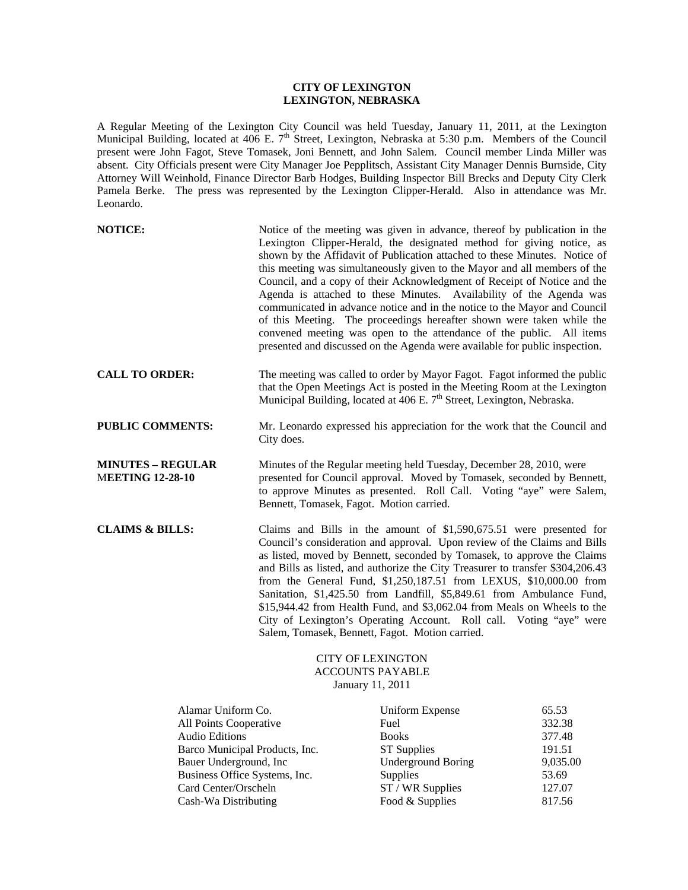## **CITY OF LEXINGTON LEXINGTON, NEBRASKA**

A Regular Meeting of the Lexington City Council was held Tuesday, January 11, 2011, at the Lexington Municipal Building, located at 406 E. 7<sup>th</sup> Street, Lexington, Nebraska at 5:30 p.m. Members of the Council present were John Fagot, Steve Tomasek, Joni Bennett, and John Salem. Council member Linda Miller was absent. City Officials present were City Manager Joe Pepplitsch, Assistant City Manager Dennis Burnside, City Attorney Will Weinhold, Finance Director Barb Hodges, Building Inspector Bill Brecks and Deputy City Clerk Pamela Berke. The press was represented by the Lexington Clipper-Herald. Also in attendance was Mr. Leonardo.

| <b>NOTICE:</b>                                                                                          |            | Notice of the meeting was given in advance, thereof by publication in the<br>Lexington Clipper-Herald, the designated method for giving notice, as<br>shown by the Affidavit of Publication attached to these Minutes. Notice of<br>this meeting was simultaneously given to the Mayor and all members of the<br>Council, and a copy of their Acknowledgment of Receipt of Notice and the<br>Agenda is attached to these Minutes. Availability of the Agenda was<br>communicated in advance notice and in the notice to the Mayor and Council<br>of this Meeting. The proceedings hereafter shown were taken while the<br>convened meeting was open to the attendance of the public. All items<br>presented and discussed on the Agenda were available for public inspection. |                                     |
|---------------------------------------------------------------------------------------------------------|------------|-------------------------------------------------------------------------------------------------------------------------------------------------------------------------------------------------------------------------------------------------------------------------------------------------------------------------------------------------------------------------------------------------------------------------------------------------------------------------------------------------------------------------------------------------------------------------------------------------------------------------------------------------------------------------------------------------------------------------------------------------------------------------------|-------------------------------------|
| <b>CALL TO ORDER:</b>                                                                                   |            | The meeting was called to order by Mayor Fagot. Fagot informed the public<br>that the Open Meetings Act is posted in the Meeting Room at the Lexington<br>Municipal Building, located at 406 E. 7 <sup>th</sup> Street, Lexington, Nebraska.                                                                                                                                                                                                                                                                                                                                                                                                                                                                                                                                  |                                     |
| <b>PUBLIC COMMENTS:</b>                                                                                 | City does. | Mr. Leonardo expressed his appreciation for the work that the Council and                                                                                                                                                                                                                                                                                                                                                                                                                                                                                                                                                                                                                                                                                                     |                                     |
| <b>MINUTES - REGULAR</b><br><b>MEETING 12-28-10</b>                                                     |            | Minutes of the Regular meeting held Tuesday, December 28, 2010, were<br>presented for Council approval. Moved by Tomasek, seconded by Bennett,<br>to approve Minutes as presented. Roll Call. Voting "aye" were Salem,<br>Bennett, Tomasek, Fagot. Motion carried.                                                                                                                                                                                                                                                                                                                                                                                                                                                                                                            |                                     |
| <b>CLAIMS &amp; BILLS:</b>                                                                              |            | Claims and Bills in the amount of \$1,590,675.51 were presented for<br>Council's consideration and approval. Upon review of the Claims and Bills<br>as listed, moved by Bennett, seconded by Tomasek, to approve the Claims<br>and Bills as listed, and authorize the City Treasurer to transfer \$304,206.43<br>from the General Fund, \$1,250,187.51 from LEXUS, \$10,000.00 from<br>Sanitation, \$1,425.50 from Landfill, \$5,849.61 from Ambulance Fund,<br>\$15,944.42 from Health Fund, and \$3,062.04 from Meals on Wheels to the<br>City of Lexington's Operating Account. Roll call. Voting "aye" were<br>Salem, Tomasek, Bennett, Fagot. Motion carried.                                                                                                            |                                     |
|                                                                                                         |            | <b>CITY OF LEXINGTON</b><br><b>ACCOUNTS PAYABLE</b><br>January 11, 2011                                                                                                                                                                                                                                                                                                                                                                                                                                                                                                                                                                                                                                                                                                       |                                     |
| Alamar Uniform Co.<br>All Points Cooperative<br><b>Audio Editions</b><br>Barco Municipal Products, Inc. |            | <b>Uniform Expense</b><br>Fuel<br><b>Books</b><br><b>ST Supplies</b>                                                                                                                                                                                                                                                                                                                                                                                                                                                                                                                                                                                                                                                                                                          | 65.53<br>332.38<br>377.48<br>191.51 |

| <b>Audio Editions</b>          | <b>Books</b>              | 377.48   |
|--------------------------------|---------------------------|----------|
| Barco Municipal Products, Inc. | <b>ST</b> Supplies        | 191.51   |
| Bauer Underground, Inc.        | <b>Underground Boring</b> | 9,035.00 |
| Business Office Systems, Inc.  | Supplies                  | 53.69    |
| Card Center/Orscheln           | $ST / WR$ Supplies        | 127.07   |
| Cash-Wa Distributing           | Food & Supplies           | 817.56   |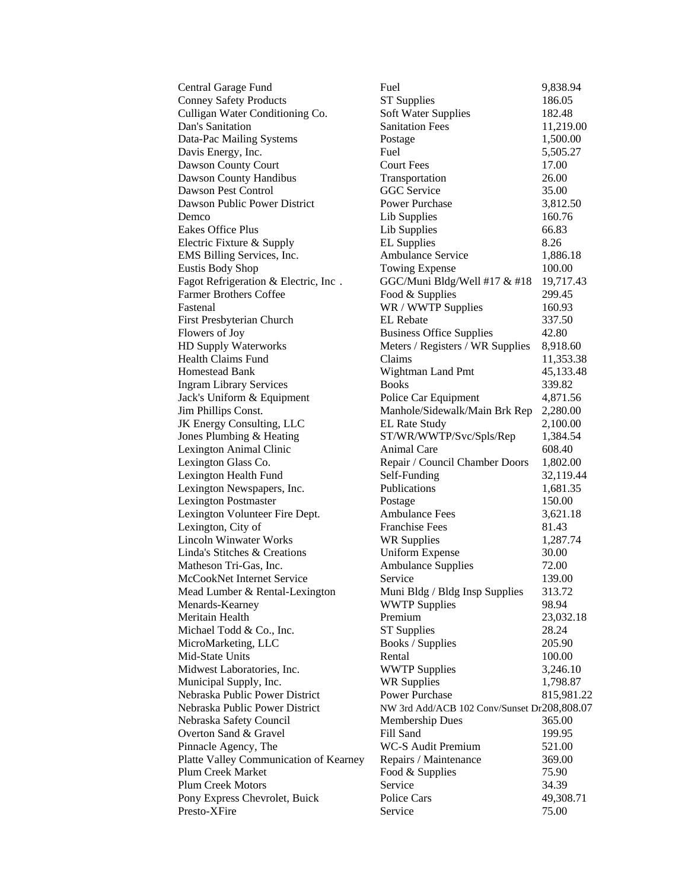| Central Garage Fund                    | Fuel                                    | 9,838. |
|----------------------------------------|-----------------------------------------|--------|
| <b>Conney Safety Products</b>          | <b>ST Supplies</b>                      | 186.05 |
| Culligan Water Conditioning Co.        | <b>Soft Water Supplies</b>              | 182.48 |
| Dan's Sanitation                       | <b>Sanitation Fees</b>                  | 11,219 |
| Data-Pac Mailing Systems               | Postage                                 | 1,500. |
| Davis Energy, Inc.                     | Fuel                                    | 5,505. |
| Dawson County Court                    | <b>Court Fees</b>                       | 17.00  |
| Dawson County Handibus                 | Transportation                          | 26.00  |
| Dawson Pest Control                    | GGC Service                             | 35.00  |
| Dawson Public Power District           | Power Purchase                          | 3,812. |
| Demco                                  | Lib Supplies                            | 160.76 |
| Eakes Office Plus                      | Lib Supplies                            | 66.83  |
| Electric Fixture & Supply              | <b>EL Supplies</b>                      | 8.26   |
| EMS Billing Services, Inc.             | <b>Ambulance Service</b>                | 1,886. |
| <b>Eustis Body Shop</b>                | <b>Towing Expense</b>                   | 100.00 |
| Fagot Refrigeration & Electric, Inc.   | GGC/Muni Bldg/Well #17 $&$ #18          | 19,717 |
| <b>Farmer Brothers Coffee</b>          | Food & Supplies                         | 299.45 |
| Fastenal                               | WR / WWTP Supplies                      | 160.93 |
| First Presbyterian Church              | <b>EL</b> Rebate                        | 337.50 |
| Flowers of Joy                         | <b>Business Office Supplies</b>         | 42.80  |
| HD Supply Waterworks                   | Meters / Registers / WR Supplies        | 8,918. |
| <b>Health Claims Fund</b>              | Claims                                  | 11,353 |
| <b>Homestead Bank</b>                  | Wightman Land Pmt                       | 45,133 |
| <b>Ingram Library Services</b>         | <b>Books</b>                            | 339.82 |
| Jack's Uniform & Equipment             | Police Car Equipment                    | 4,871. |
| Jim Phillips Const.                    | Manhole/Sidewalk/Main Brk Rep           | 2,280. |
| JK Energy Consulting, LLC              | <b>EL Rate Study</b>                    | 2,100. |
| Jones Plumbing & Heating               | ST/WR/WWTP/Svc/Spls/Rep                 | 1,384. |
| Lexington Animal Clinic                | <b>Animal Care</b>                      | 608.40 |
| Lexington Glass Co.                    | Repair / Council Chamber Doors          | 1,802. |
| Lexington Health Fund                  | Self-Funding                            | 32,119 |
| Lexington Newspapers, Inc.             | Publications                            | 1,681. |
| <b>Lexington Postmaster</b>            | Postage                                 | 150.00 |
| Lexington Volunteer Fire Dept.         | <b>Ambulance Fees</b>                   | 3,621. |
| Lexington, City of                     | <b>Franchise Fees</b>                   | 81.43  |
| <b>Lincoln Winwater Works</b>          | <b>WR Supplies</b>                      | 1,287. |
| Linda's Stitches & Creations           | <b>Uniform Expense</b>                  | 30.00  |
| Matheson Tri-Gas, Inc.                 | <b>Ambulance Supplies</b>               | 72.00  |
| McCookNet Internet Service             | Service                                 | 139.00 |
| Mead Lumber & Rental-Lexington         | Muni Bldg / Bldg Insp Supplies          | 313.72 |
| Menards-Kearney                        | <b>WWTP Supplies</b>                    | 98.94  |
| Meritain Health                        | Premium                                 | 23,032 |
| Michael Todd & Co., Inc.               | <b>ST Supplies</b>                      | 28.24  |
| MicroMarketing, LLC                    | Books / Supplies                        | 205.90 |
| Mid-State Units                        | Rental                                  | 100.00 |
| Midwest Laboratories, Inc.             | <b>WWTP Supplies</b>                    | 3,246. |
| Municipal Supply, Inc.                 | <b>WR Supplies</b>                      | 1,798. |
| Nebraska Public Power District         | <b>Power Purchase</b>                   | 815,98 |
| Nebraska Public Power District         | NW 3rd Add/ACB 102 Conv/Sunset Dr208,80 |        |
| Nebraska Safety Council                | <b>Membership Dues</b>                  | 365.00 |
| Overton Sand & Gravel                  | Fill Sand                               | 199.95 |
| Pinnacle Agency, The                   | <b>WC-S Audit Premium</b>               | 521.00 |
| Platte Valley Communication of Kearney | Repairs / Maintenance                   | 369.00 |
| Plum Creek Market                      | Food & Supplies                         | 75.90  |
| <b>Plum Creek Motors</b>               | Service                                 | 34.39  |
| Pony Express Chevrolet, Buick          | Police Cars                             | 49,308 |
| Presto-XFire                           | Service                                 | 75.00  |
|                                        |                                         |        |

| Central Garage Fund                    | Fuel                                        | 9,838.94   |
|----------------------------------------|---------------------------------------------|------------|
| <b>Conney Safety Products</b>          | <b>ST Supplies</b>                          | 186.05     |
| Culligan Water Conditioning Co.        | <b>Soft Water Supplies</b>                  | 182.48     |
| Dan's Sanitation                       | <b>Sanitation Fees</b>                      | 11,219.00  |
| Data-Pac Mailing Systems               | Postage                                     | 1,500.00   |
| Davis Energy, Inc.                     | Fuel                                        | 5,505.27   |
| Dawson County Court                    | <b>Court Fees</b>                           | 17.00      |
| Dawson County Handibus                 | Transportation                              | 26.00      |
| Dawson Pest Control                    | GGC Service                                 | 35.00      |
| Dawson Public Power District           | <b>Power Purchase</b>                       | 3,812.50   |
| Demco                                  | Lib Supplies                                | 160.76     |
| <b>Eakes Office Plus</b>               | Lib Supplies                                | 66.83      |
| Electric Fixture & Supply              | <b>EL Supplies</b>                          | 8.26       |
| EMS Billing Services, Inc.             | <b>Ambulance Service</b>                    | 1,886.18   |
| <b>Eustis Body Shop</b>                | <b>Towing Expense</b>                       | 100.00     |
| Fagot Refrigeration & Electric, Inc.   | GGC/Muni Bldg/Well #17 & #18                | 19,717.43  |
| <b>Farmer Brothers Coffee</b>          | Food & Supplies                             | 299.45     |
| Fastenal                               | WR / WWTP Supplies                          | 160.93     |
| First Presbyterian Church              | <b>EL</b> Rebate                            | 337.50     |
| Flowers of Joy                         | <b>Business Office Supplies</b>             | 42.80      |
| HD Supply Waterworks                   | Meters / Registers / WR Supplies            | 8,918.60   |
| <b>Health Claims Fund</b>              | Claims                                      | 11,353.38  |
| <b>Homestead Bank</b>                  | Wightman Land Pmt                           | 45,133.48  |
| <b>Ingram Library Services</b>         | <b>Books</b>                                | 339.82     |
| Jack's Uniform & Equipment             | Police Car Equipment                        | 4,871.56   |
| Jim Phillips Const.                    | Manhole/Sidewalk/Main Brk Rep               | 2,280.00   |
| JK Energy Consulting, LLC              | <b>EL Rate Study</b>                        | 2,100.00   |
| Jones Plumbing & Heating               | ST/WR/WWTP/Svc/Spls/Rep                     | 1,384.54   |
| Lexington Animal Clinic                | Animal Care                                 | 608.40     |
| Lexington Glass Co.                    | Repair / Council Chamber Doors              | 1,802.00   |
| Lexington Health Fund                  | Self-Funding                                | 32,119.44  |
| Lexington Newspapers, Inc.             | Publications                                | 1,681.35   |
| <b>Lexington Postmaster</b>            | Postage                                     | 150.00     |
| Lexington Volunteer Fire Dept.         | <b>Ambulance Fees</b>                       | 3,621.18   |
| Lexington, City of                     | <b>Franchise Fees</b>                       | 81.43      |
| <b>Lincoln Winwater Works</b>          | <b>WR Supplies</b>                          | 1,287.74   |
| Linda's Stitches & Creations           | <b>Uniform Expense</b>                      | 30.00      |
| Matheson Tri-Gas, Inc.                 | <b>Ambulance Supplies</b>                   | 72.00      |
| McCookNet Internet Service             | Service                                     | 139.00     |
| Mead Lumber & Rental-Lexington         | Muni Bldg / Bldg Insp Supplies              | 313.72     |
| Menards-Kearney                        | <b>WWTP Supplies</b>                        | 98.94      |
| Meritain Health                        | Premium                                     | 23,032.18  |
| Michael Todd & Co., Inc.               | <b>ST</b> Supplies                          | 28.24      |
| MicroMarketing, LLC                    | Books / Supplies                            | 205.90     |
| Mid-State Units                        | Rental                                      | 100.00     |
| Midwest Laboratories, Inc.             | <b>WWTP Supplies</b>                        | 3,246.10   |
| Municipal Supply, Inc.                 | <b>WR Supplies</b>                          | 1,798.87   |
| Nebraska Public Power District         | <b>Power Purchase</b>                       | 815,981.22 |
| Nebraska Public Power District         | NW 3rd Add/ACB 102 Conv/Sunset Dr208,808.07 |            |
| Nebraska Safety Council                | <b>Membership Dues</b>                      | 365.00     |
| Overton Sand & Gravel                  | Fill Sand                                   | 199.95     |
| Pinnacle Agency, The                   | WC-S Audit Premium                          | 521.00     |
| Platte Valley Communication of Kearney | Repairs / Maintenance                       | 369.00     |
| Plum Creek Market                      | Food & Supplies                             | 75.90      |
| <b>Plum Creek Motors</b>               | Service                                     | 34.39      |
| Pony Express Chevrolet, Buick          | Police Cars                                 | 49,308.71  |
| Presto-XFire                           | Service                                     | 75.00      |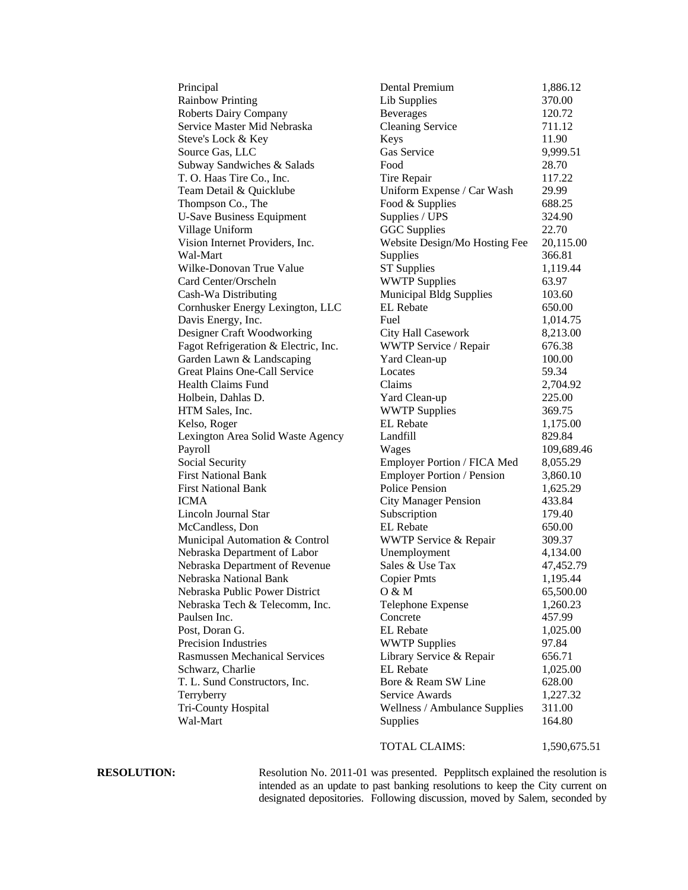| Principal                            |
|--------------------------------------|
| <b>Rainbow Printing</b>              |
| <b>Roberts Dairy Company</b>         |
| Service Master Mid Nebraska          |
| Steve's Lock & Key                   |
| Source Gas, LLC                      |
| Subway Sandwiches & Salads           |
| T. O. Haas Tire Co., Inc.            |
| Team Detail & Quicklube              |
| Thompson Co., The                    |
| <b>U-Save Business Equipment</b>     |
| Village Uniform                      |
| Vision Internet Providers, Inc.      |
| Wal-Mart                             |
| Wilke-Donovan True Value             |
| Card Center/Orscheln                 |
| Cash-Wa Distributing                 |
| Cornhusker Energy Lexington, LLC     |
| Davis Energy, Inc.                   |
| Designer Craft Woodworking           |
| Fagot Refrigeration & Electric, Inc. |
| Garden Lawn & Landscaping            |
| <b>Great Plains One-Call Service</b> |
| <b>Health Claims Fund</b>            |
| Holbein, Dahlas D.                   |
| HTM Sales, Inc.                      |
| Kelso, Roger                         |
| Lexington Area Solid Waste Agency    |
| Payroll                              |
| Social Security                      |
| <b>First National Bank</b>           |
| <b>First National Bank</b>           |
| <b>ICMA</b>                          |
|                                      |
| Lincoln Journal Star                 |
| McCandless, Don                      |
| Municipal Automation & Control       |
| Nebraska Department of Labor         |
| Nebraska Department of Revenue       |
| Nebraska National Bank               |
| Nebraska Public Power District       |
| Nebraska Tech & Telecomm, Inc.       |
|                                      |
| Paulsen Inc.                         |
| Post, Doran G.                       |
| <b>Precision Industries</b>          |
| <b>Rasmussen Mechanical Services</b> |
| Schwarz, Charlie                     |
| T. L. Sund Constructors, Inc.        |
| Terryberry                           |
| Tri-County Hospital<br>Wal-Mart      |

| Principal                            | Dental Premium                                     | 1,886.12           |
|--------------------------------------|----------------------------------------------------|--------------------|
| <b>Rainbow Printing</b>              | Lib Supplies                                       | 370.00             |
| <b>Roberts Dairy Company</b>         | <b>Beverages</b>                                   | 120.72             |
| Service Master Mid Nebraska          | <b>Cleaning Service</b>                            | 711.12             |
| Steve's Lock & Key                   | Keys                                               | 11.90              |
| Source Gas, LLC                      | Gas Service                                        | 9,999.51           |
| Subway Sandwiches & Salads           | Food                                               | 28.70              |
| T. O. Haas Tire Co., Inc.            | Tire Repair                                        | 117.22             |
| Team Detail & Quicklube              | Uniform Expense / Car Wash                         | 29.99              |
| Thompson Co., The                    | Food & Supplies                                    | 688.25             |
| <b>U-Save Business Equipment</b>     | Supplies / UPS                                     | 324.90             |
| Village Uniform                      | <b>GGC</b> Supplies                                | 22.70              |
| Vision Internet Providers, Inc.      | Website Design/Mo Hosting Fee                      | 20,115.00          |
| Wal-Mart                             | Supplies                                           | 366.81             |
| Wilke-Donovan True Value             | <b>ST</b> Supplies                                 | 1,119.44           |
| Card Center/Orscheln                 | <b>WWTP Supplies</b>                               | 63.97              |
| Cash-Wa Distributing                 |                                                    | 103.60             |
|                                      | <b>Municipal Bldg Supplies</b><br><b>EL</b> Rebate | 650.00             |
| Cornhusker Energy Lexington, LLC     |                                                    |                    |
| Davis Energy, Inc.                   | Fuel                                               | 1,014.75           |
| Designer Craft Woodworking           | City Hall Casework                                 | 8,213.00<br>676.38 |
| Fagot Refrigeration & Electric, Inc. | WWTP Service / Repair                              |                    |
| Garden Lawn & Landscaping            | Yard Clean-up                                      | 100.00             |
| <b>Great Plains One-Call Service</b> | Locates                                            | 59.34              |
| Health Claims Fund                   | Claims                                             | 2,704.92           |
| Holbein, Dahlas D.                   | Yard Clean-up                                      | 225.00             |
| HTM Sales, Inc.                      | <b>WWTP Supplies</b>                               | 369.75             |
| Kelso, Roger                         | EL Rebate                                          | 1,175.00           |
| Lexington Area Solid Waste Agency    | Landfill                                           | 829.84             |
| Payroll                              | Wages                                              | 109,689.46         |
| <b>Social Security</b>               | Employer Portion / FICA Med                        | 8,055.29           |
| <b>First National Bank</b>           | <b>Employer Portion / Pension</b>                  | 3,860.10           |
| <b>First National Bank</b>           | <b>Police Pension</b>                              | 1,625.29           |
| ICMA                                 | <b>City Manager Pension</b>                        | 433.84             |
| Lincoln Journal Star                 | Subscription                                       | 179.40             |
| McCandless, Don                      | <b>EL</b> Rebate                                   | 650.00             |
| Municipal Automation & Control       | WWTP Service & Repair                              | 309.37             |
| Nebraska Department of Labor         | Unemployment                                       | 4,134.00           |
| Nebraska Department of Revenue       | Sales & Use Tax                                    | 47,452.79          |
| Nebraska National Bank               | <b>Copier Pmts</b>                                 | 1,195.44           |
| Nebraska Public Power District       | 0 & M                                              | 65,500.00          |
| Nebraska Tech & Telecomm, Inc.       | Telephone Expense                                  | 1,260.23           |
| Paulsen Inc.                         | Concrete                                           | 457.99             |
| Post, Doran G.                       | <b>EL</b> Rebate                                   | 1,025.00           |
| Precision Industries                 | <b>WWTP Supplies</b>                               | 97.84              |
| <b>Rasmussen Mechanical Services</b> | Library Service & Repair                           | 656.71             |
| Schwarz, Charlie                     | <b>EL</b> Rebate                                   | 1,025.00           |
| T. L. Sund Constructors, Inc.        | Bore & Ream SW Line                                | 628.00             |
| Terryberry                           | Service Awards                                     | 1,227.32           |
| Tri-County Hospital                  | Wellness / Ambulance Supplies                      | 311.00             |
| Wal-Mart                             | Supplies                                           | 164.80             |
|                                      | TOTAL CLAIMS:                                      | 1,590,675.51       |

**RESOLUTION:** Resolution No. 2011-01 was presented. Pepplitsch explained the resolution is intended as an update to past banking resolutions to keep the City current on designated depositories. Following discussion, moved by Salem, seconded by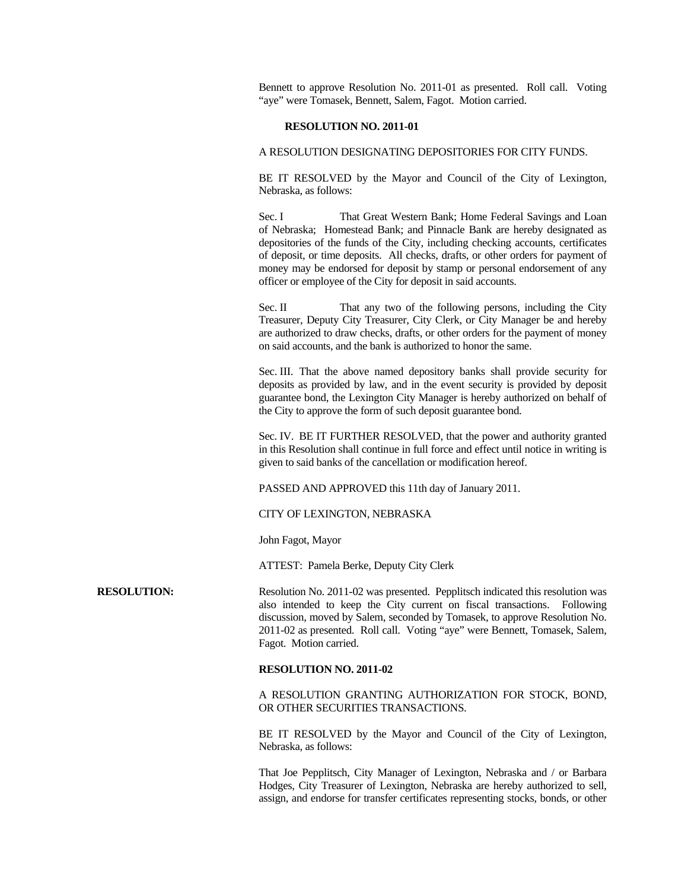Bennett to approve Resolution No. 2011-01 as presented. Roll call. Voting "aye" were Tomasek, Bennett, Salem, Fagot. Motion carried.

#### **RESOLUTION NO. 2011-01**

### A RESOLUTION DESIGNATING DEPOSITORIES FOR CITY FUNDS.

 BE IT RESOLVED by the Mayor and Council of the City of Lexington, Nebraska, as follows:

Sec. I That Great Western Bank; Home Federal Savings and Loan of Nebraska; Homestead Bank; and Pinnacle Bank are hereby designated as depositories of the funds of the City, including checking accounts, certificates of deposit, or time deposits. All checks, drafts, or other orders for payment of money may be endorsed for deposit by stamp or personal endorsement of any officer or employee of the City for deposit in said accounts.

Sec. II That any two of the following persons, including the City Treasurer, Deputy City Treasurer, City Clerk, or City Manager be and hereby are authorized to draw checks, drafts, or other orders for the payment of money on said accounts, and the bank is authorized to honor the same.

Sec. III. That the above named depository banks shall provide security for deposits as provided by law, and in the event security is provided by deposit guarantee bond, the Lexington City Manager is hereby authorized on behalf of the City to approve the form of such deposit guarantee bond.

Sec. IV. BE IT FURTHER RESOLVED, that the power and authority granted in this Resolution shall continue in full force and effect until notice in writing is given to said banks of the cancellation or modification hereof.

PASSED AND APPROVED this 11th day of January 2011.

CITY OF LEXINGTON, NEBRASKA

John Fagot, Mayor

ATTEST: Pamela Berke, Deputy City Clerk

**RESOLUTION:** Resolution No. 2011-02 was presented. Pepplitsch indicated this resolution was also intended to keep the City current on fiscal transactions. Following discussion, moved by Salem, seconded by Tomasek, to approve Resolution No. 2011-02 as presented. Roll call. Voting "aye" were Bennett, Tomasek, Salem, Fagot. Motion carried.

# **RESOLUTION NO. 2011-02**

 A RESOLUTION GRANTING AUTHORIZATION FOR STOCK, BOND, OR OTHER SECURITIES TRANSACTIONS.

 BE IT RESOLVED by the Mayor and Council of the City of Lexington, Nebraska, as follows:

 That Joe Pepplitsch, City Manager of Lexington, Nebraska and / or Barbara Hodges, City Treasurer of Lexington, Nebraska are hereby authorized to sell, assign, and endorse for transfer certificates representing stocks, bonds, or other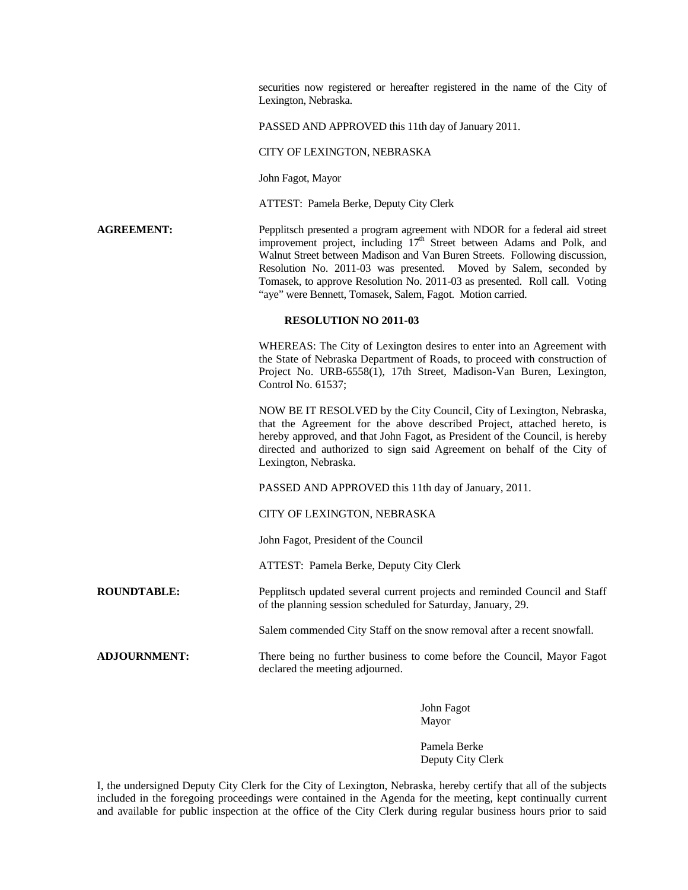securities now registered or hereafter registered in the name of the City of Lexington, Nebraska.

PASSED AND APPROVED this 11th day of January 2011.

#### CITY OF LEXINGTON, NEBRASKA

John Fagot, Mayor

ATTEST: Pamela Berke, Deputy City Clerk

# **AGREEMENT:** Pepplitsch presented a program agreement with NDOR for a federal aid street improvement project, including  $17<sup>th</sup>$  Street between Adams and Polk, and Walnut Street between Madison and Van Buren Streets. Following discussion, Resolution No. 2011-03 was presented. Moved by Salem, seconded by Tomasek, to approve Resolution No. 2011-03 as presented. Roll call. Voting "aye" were Bennett, Tomasek, Salem, Fagot. Motion carried.

#### **RESOLUTION NO 2011-03**

WHEREAS: The City of Lexington desires to enter into an Agreement with the State of Nebraska Department of Roads, to proceed with construction of Project No. URB-6558(1), 17th Street, Madison-Van Buren, Lexington, Control No. 61537;

NOW BE IT RESOLVED by the City Council, City of Lexington, Nebraska, that the Agreement for the above described Project, attached hereto, is hereby approved, and that John Fagot, as President of the Council, is hereby directed and authorized to sign said Agreement on behalf of the City of Lexington, Nebraska.

PASSED AND APPROVED this 11th day of January, 2011.

CITY OF LEXINGTON, NEBRASKA

John Fagot, President of the Council

ATTEST: Pamela Berke, Deputy City Clerk

**ROUNDTABLE:** Pepplitsch updated several current projects and reminded Council and Staff of the planning session scheduled for Saturday, January, 29.

Salem commended City Staff on the snow removal after a recent snowfall.

**ADJOURNMENT:** There being no further business to come before the Council, Mayor Fagot declared the meeting adjourned.

> John Fagot Mayor

Pamela Berke Deputy City Clerk

I, the undersigned Deputy City Clerk for the City of Lexington, Nebraska, hereby certify that all of the subjects included in the foregoing proceedings were contained in the Agenda for the meeting, kept continually current and available for public inspection at the office of the City Clerk during regular business hours prior to said